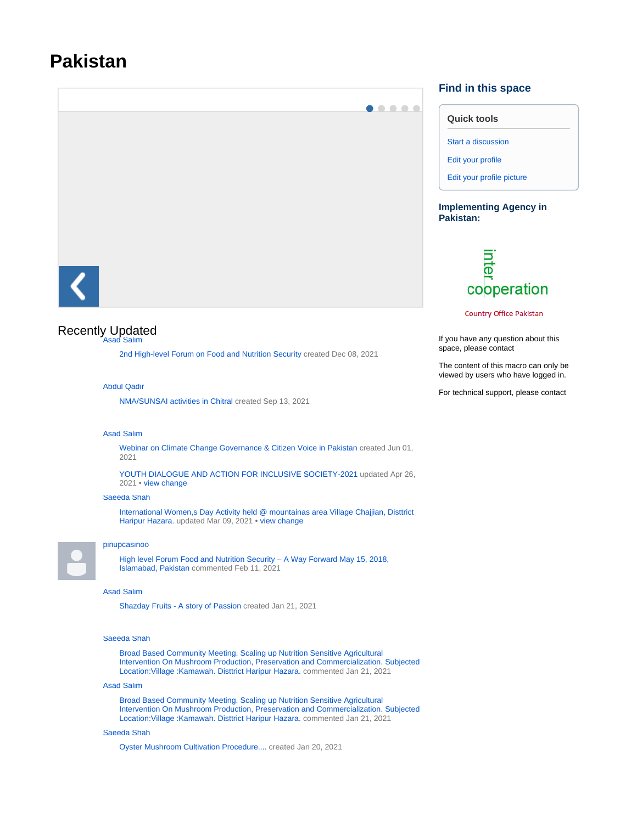# **Pakistan**



## Recently Updated [Asad Salim](https://maan.ifoam.bio/display/~asad.salim)

[2nd High-level Forum on Food and Nutrition Security](https://maan.ifoam.bio/display/PAK/2nd+High-level+Forum+on+Food+and+Nutrition+Security) created Dec 08, 2021

#### [Abdul Qadir](https://maan.ifoam.bio/display/~qadirchitrali)

[NMA/SUNSAI activities in Chitral](https://maan.ifoam.bio/pages/viewpage.action?pageId=79462410) created Sep 13, 2021

#### [Asad Salim](https://maan.ifoam.bio/display/~asad.salim)

[Webinar on Climate Change Governance & Citizen Voice in Pakistan](https://maan.ifoam.bio/pages/viewpage.action?pageId=71765611) created Jun 01, 2021

[YOUTH DIALOGUE AND ACTION FOR INCLUSIVE SOCIETY-2021](https://maan.ifoam.bio/display/PAK/2021/04/26/YOUTH+DIALOGUE+AND+ACTION+FOR+INCLUSIVE+SOCIETY-2021) updated Apr 26, 2021 • [view change](https://maan.ifoam.bio/pages/diffpagesbyversion.action?pageId=71762916&selectedPageVersions=2&selectedPageVersions=1)

#### [Saeeda Shah](https://maan.ifoam.bio/display/~saeedashah07)

[International Women,s Day Activity held @ mountainas area Village Chajjian, Disttrict](https://maan.ifoam.bio/pages/viewpage.action?pageId=64787578)  [Haripur Hazara.](https://maan.ifoam.bio/pages/viewpage.action?pageId=64787578) updated Mar 09, 2021 • [view change](https://maan.ifoam.bio/pages/diffpagesbyversion.action?pageId=64787578&selectedPageVersions=2&selectedPageVersions=1)



#### [pinupcasinoo](https://maan.ifoam.bio/display/~pinupcasinoo)

High level Forum Food and Nutrition Security - A Way Forward May 15, 2018, [Islamabad, Pakistan](https://maan.ifoam.bio/pages/viewpage.action?pageId=23005375&focusedCommentId=64786664#comment-64786664) commented Feb 11, 2021

#### [Asad Salim](https://maan.ifoam.bio/display/~asad.salim)

[Shazday Fruits - A story of Passion](https://maan.ifoam.bio/display/PAK/2021/01/21/Shazday+Fruits+-+A+story+of+Passion) created Jan 21, 2021

#### [Saeeda Shah](https://maan.ifoam.bio/display/~saeedashah07)

[Broad Based Community Meeting. Scaling up Nutrition Sensitive Agricultural](https://maan.ifoam.bio/pages/viewpage.action?pageId=64785567&focusedCommentId=64786139#comment-64786139)  [Intervention On Mushroom Production, Preservation and Commercialization. Subjected](https://maan.ifoam.bio/pages/viewpage.action?pageId=64785567&focusedCommentId=64786139#comment-64786139)  [Location:Village :Kamawah. Disttrict Haripur Hazara.](https://maan.ifoam.bio/pages/viewpage.action?pageId=64785567&focusedCommentId=64786139#comment-64786139) commented Jan 21, 2021

### [Asad Salim](https://maan.ifoam.bio/display/~asad.salim)

[Broad Based Community Meeting. Scaling up Nutrition Sensitive Agricultural](https://maan.ifoam.bio/pages/viewpage.action?pageId=64785567&focusedCommentId=64786136#comment-64786136)  [Intervention On Mushroom Production, Preservation and Commercialization. Subjected](https://maan.ifoam.bio/pages/viewpage.action?pageId=64785567&focusedCommentId=64786136#comment-64786136)  [Location:Village :Kamawah. Disttrict Haripur Hazara.](https://maan.ifoam.bio/pages/viewpage.action?pageId=64785567&focusedCommentId=64786136#comment-64786136) commented Jan 21, 2021

#### [Saeeda Shah](https://maan.ifoam.bio/display/~saeedashah07)

[Oyster Mushroom Cultivation Procedure....](https://maan.ifoam.bio/pages/viewpage.action?pageId=64786135) created Jan 20, 2021

## **Find in this space**

|  | <b>Quick tools</b> |  |
|--|--------------------|--|

[Start a discussion](https://maan.ifoam.bio/display/PAK/PAK+%7C+Discussions)

[Edit your profile](https://maan.ifoam.bio/users/editmyprofile.action)

[Edit your profile picture](https://maan.ifoam.bio/users/profile/editmyprofilepicture.action)

### **Implementing Agency in Pakistan:**



**Country Office Pakistan** 

If you have any question about this space, please contact

The content of this macro can only be viewed by users who have logged in.

For technical support, please contact